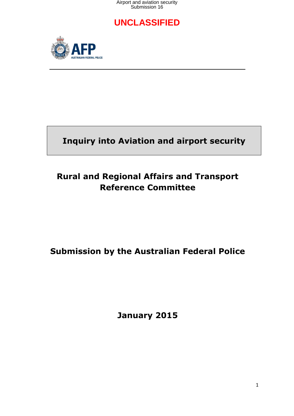Airport and aviation security Submission 16

### **UNCLASSIFIED**



# **Inquiry into Aviation and airport security**

# **Rural and Regional Affairs and Transport Reference Committee**

# **Submission by the Australian Federal Police**

**January 2015**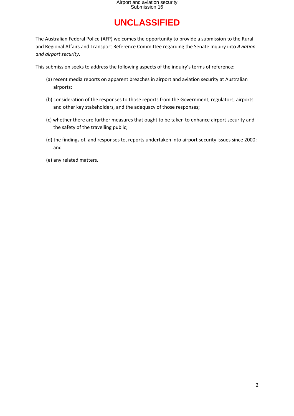The Australian Federal Police (AFP) welcomes the opportunity to provide a submission to the Rural and Regional Affairs and Transport Reference Committee regarding the Senate Inquiry into *Aviation and airport security*.

This submission seeks to address the following aspects of the inquiry's terms of reference:

- (a) recent media reports on apparent breaches in airport and aviation security at Australian airports;
- (b) consideration of the responses to those reports from the Government, regulators, airports and other key stakeholders, and the adequacy of those responses;
- (c) whether there are further measures that ought to be taken to enhance airport security and the safety of the travelling public;
- (d) the findings of, and responses to, reports undertaken into airport security issues since 2000; and
- (e) any related matters.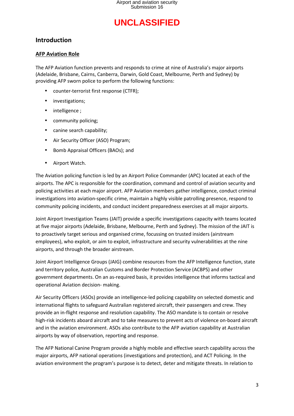### **Introduction**

#### **AFP Aviation Role**

The AFP Aviation function prevents and responds to crime at nine of Australia's major airports (Adelaide, Brisbane, Cairns, Canberra, Darwin, Gold Coast, Melbourne, Perth and Sydney) by providing AFP sworn police to perform the following functions:

- counter-terrorist first response (CTFR);
- investigations;
- intelligence;
- community policing;
- canine search capability;
- Air Security Officer (ASO) Program;
- Bomb Appraisal Officers (BAOs); and
- Airport Watch.

The Aviation policing function is led by an Airport Police Commander (APC) located at each of the airports. The APC is responsible for the coordination, command and control of aviation security and policing activities at each major airport. AFP Aviation members gather intelligence, conduct criminal investigations into aviation-specific crime, maintain a highly visible patrolling presence, respond to community policing incidents, and conduct incident preparedness exercises at all major airports.

Joint Airport Investigation Teams (JAIT) provide a specific investigations capacity with teams located at five major airports (Adelaide, Brisbane, Melbourne, Perth and Sydney). The mission of the JAIT is to proactively target serious and organised crime, focussing on trusted insiders (airstream employees), who exploit, or aim to exploit, infrastructure and security vulnerabilities at the nine airports, and through the broader airstream.

Joint Airport Intelligence Groups (JAIG) combine resources from the AFP Intelligence function, state and territory police, Australian Customs and Border Protection Service (ACBPS) and other government departments. On an as-required basis, it provides intelligence that informs tactical and operational Aviation decision- making.

Air Security Officers (ASOs) provide an intelligence-led policing capability on selected domestic and international flights to safeguard Australian registered aircraft, their passengers and crew. They provide an in-flight response and resolution capability. The ASO mandate is to contain or resolve high-risk incidents aboard aircraft and to take measures to prevent acts of violence on-board aircraft and in the aviation environment. ASOs also contribute to the AFP aviation capability at Australian airports by way of observation, reporting and response.

The AFP National Canine Program provide a highly mobile and effective search capability across the major airports, AFP national operations (investigations and protection), and ACT Policing. In the aviation environment the program's purpose is to detect, deter and mitigate threats. In relation to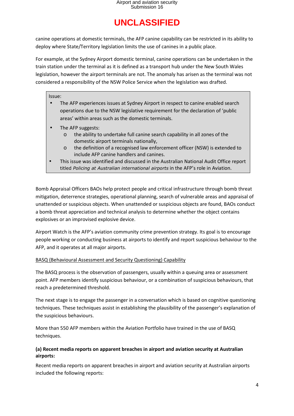canine operations at domestic terminals, the AFP canine capability can be restricted in its ability to deploy where State/Territory legislation limits the use of canines in a public place.

For example, at the Sydney Airport domestic terminal, canine operations can be undertaken in the train station under the terminal as it is defined as a transport hub under the New South Wales legislation, however the airport terminals are not. The anomaly has arisen as the terminal was not considered a responsibility of the NSW Police Service when the legislation was drafted.

#### Issue:

- The AFP experiences issues at Sydney Airport in respect to canine enabled search operations due to the NSW legislative requirement for the declaration of 'public areas' within areas such as the domestic terminals.
- The AFP suggests:
	- o the ability to undertake full canine search capability in all zones of the domestic airport terminals nationally,
	- o the definition of a recognised law enforcement officer (NSW) is extended to include AFP canine handlers and canines.
- This issue was identified and discussed in the Australian National Audit Office report titled *Policing at Australian international airports* in the AFP's role in Aviation.

Bomb Appraisal Officers BAOs help protect people and critical infrastructure through bomb threat mitigation, deterrence strategies, operational planning, search of vulnerable areas and appraisal of unattended or suspicious objects. When unattended or suspicious objects are found, BAOs conduct a bomb threat appreciation and technical analysis to determine whether the object contains explosives or an improvised explosive device.

Airport Watch is the AFP's aviation community crime prevention strategy. Its goal is to encourage people working or conducting business at airports to identify and report suspicious behaviour to the AFP, and it operates at all major airports.

#### BASQ (Behavioural Assessment and Security Questioning) Capability

The BASQ process is the observation of passengers, usually within a queuing area or assessment point. AFP members identify suspicious behaviour, or a combination of suspicious behaviours, that reach a predetermined threshold.

The next stage is to engage the passenger in a conversation which is based on cognitive questioning techniques. These techniques assist in establishing the plausibility of the passenger's explanation of the suspicious behaviours.

More than 550 AFP members within the Aviation Portfolio have trained in the use of BASQ techniques.

#### **(a) Recent media reports on apparent breaches in airport and aviation security at Australian airports:**

Recent media reports on apparent breaches in airport and aviation security at Australian airports included the following reports: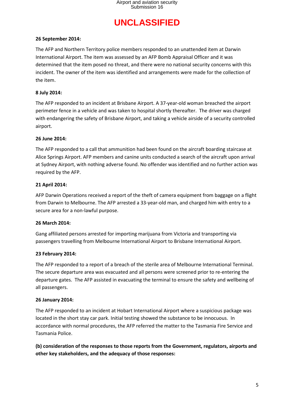#### **26 September 2014:**

The AFP and Northern Territory police members responded to an unattended item at Darwin International Airport. The item was assessed by an AFP Bomb Appraisal Officer and it was determined that the item posed no threat, and there were no national security concerns with this incident. The owner of the item was identified and arrangements were made for the collection of the item.

#### **8 July 2014:**

The AFP responded to an incident at Brisbane Airport. A 37-year-old woman breached the airport perimeter fence in a vehicle and was taken to hospital shortly thereafter. The driver was charged with endangering the safety of Brisbane Airport, and taking a vehicle airside of a security controlled airport.

#### **26 June 2014:**

The AFP responded to a call that ammunition had been found on the aircraft boarding staircase at Alice Springs Airport. AFP members and canine units conducted a search of the aircraft upon arrival at Sydney Airport, with nothing adverse found. No offender was identified and no further action was required by the AFP.

#### **21 April 2014:**

AFP Darwin Operations received a report of the theft of camera equipment from baggage on a flight from Darwin to Melbourne. The AFP arrested a 33-year-old man, and charged him with entry to a secure area for a non-lawful purpose.

#### **26 March 2014:**

Gang affiliated persons arrested for importing marijuana from Victoria and transporting via passengers travelling from Melbourne International Airport to Brisbane International Airport.

#### **23 February 2014:**

The AFP responded to a report of a breach of the sterile area of Melbourne International Terminal. The secure departure area was evacuated and all persons were screened prior to re-entering the departure gates. The AFP assisted in evacuating the terminal to ensure the safety and wellbeing of all passengers.

#### **26 January 2014:**

The AFP responded to an incident at Hobart International Airport where a suspicious package was located in the short stay car park. Initial testing showed the substance to be innocuous. In accordance with normal procedures, the AFP referred the matter to the Tasmania Fire Service and Tasmania Police.

**(b) consideration of the responses to those reports from the Government, regulators, airports and other key stakeholders, and the adequacy of those responses:**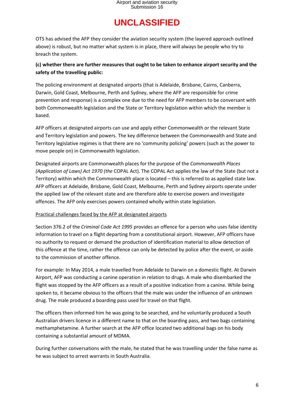OTS has advised the AFP they consider the aviation security system (the layered approach outlined above) is robust, but no matter what system is in place, there will always be people who try to breach the system.

### **(c) whether there are further measures that ought to be taken to enhance airport security and the safety of the travelling public:**

The policing environment at designated airports (that is Adelaide, Brisbane, Cairns, Canberra, Darwin, Gold Coast, Melbourne, Perth and Sydney, where the AFP are responsible for crime prevention and response) is a complex one due to the need for AFP members to be conversant with both Commonwealth legislation and the State or Territory legislation within which the member is based.

AFP officers at designated airports can use and apply either Commonwealth or the relevant State and Territory legislation and powers. The key difference between the Commonwealth and State and Territory legislative regimes is that there are no 'community policing' powers (such as the power to move people on) in Commonwealth legislation.

Designated airports are Commonwealth places for the purpose of the *Commonwealth Places (Application of Laws) Act 1970 (the* COPAL Act). The COPAL Act applies the law of the State (but not a Territory) within which the Commonwealth place is located – this is referred to as applied state law. AFP officers at Adelaide, Brisbane, Gold Coast, Melbourne, Perth and Sydney airports operate under the applied law of the relevant state and are therefore able to exercise powers and investigate offences. The AFP only exercises powers contained wholly within state legislation.

### Practical challenges faced by the AFP at designated airports

Section 376.2 of the *Criminal Code Act 1995* provides an offence for a person who uses false identity information to travel on a flight departing from a constitutional airport. However, AFP officers have no authority to request or demand the production of identification material to allow detection of this offence at the time, rather the offence can only be detected by police after the event, or aside to the commission of another offence.

For example: In May 2014, a male travelled from Adelaide to Darwin on a domestic flight. At Darwin Airport, AFP was conducting a canine operation in relation to drugs. A male who disembarked the flight was stopped by the AFP officers as a result of a positive indication from a canine. While being spoken to, it became obvious to the officers that the male was under the influence of an unknown drug. The male produced a boarding pass used for travel on that flight.

The officers then informed him he was going to be searched, and he voluntarily produced a South Australian drivers licence in a different name to that on the boarding pass, and two bags containing methamphetamine. A further search at the AFP office located two additional bags on his body containing a substantial amount of MDMA.

During further conversations with the male, he stated that he was travelling under the false name as he was subject to arrest warrants in South Australia.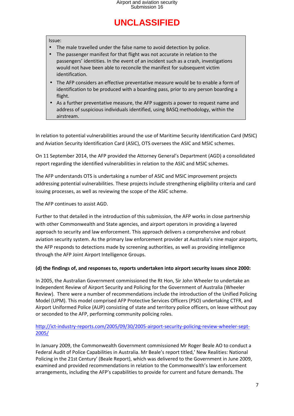#### Issue:

- The male travelled under the false name to avoid detection by police.
- The passenger manifest for that flight was not accurate in relation to the passengers' identities. In the event of an incident such as a crash, investigations would not have been able to reconcile the manifest for subsequent victim identification.
- The AFP considers an effective preventative measure would be to enable a form of identification to be produced with a boarding pass, prior to any person boarding a flight.
- As a further preventative measure, the AFP suggests a power to request name and address of suspicious individuals identified, using BASQ methodology, within the airstream.

In relation to potential vulnerabilities around the use of Maritime Security Identification Card (MSIC) and Aviation Security Identification Card (ASIC), OTS oversees the ASIC and MSIC schemes.

On 11 September 2014, the AFP provided the Attorney General's Department (AGD) a consolidated report regarding the identified vulnerabilities in relation to the ASIC and MSIC schemes.

The AFP understands OTS is undertaking a number of ASIC and MSIC improvement projects addressing potential vulnerabilities. These projects include strengthening eligibility criteria and card issuing processes, as well as reviewing the scope of the ASIC scheme.

The AFP continues to assist AGD.

Further to that detailed in the introduction of this submission, the AFP works in close partnership with other Commonwealth and State agencies, and airport operators in providing a layered approach to security and law enforcement. This approach delivers a comprehensive and robust aviation security system. As the primary law enforcement provider at Australia's nine major airports, the AFP responds to detections made by screening authorities, as well as providing intelligence through the AFP Joint Airport Intelligence Groups.

#### **(d) the findings of, and responses to, reports undertaken into airport security issues since 2000:**

In 2005, the Australian Government commissioned the Rt Hon, Sir John Wheeler to undertake an Independent Review of Airport Security and Policing for the Government of Australia (Wheeler Review). There were a number of recommendations include the introduction of the Unified Policing Model (UPM). This model comprised AFP Protective Services Officers (PSO) undertaking CTFR, and Airport Uniformed Police (AUP) consisting of state and territory police officers, on leave without pay or seconded to the AFP, performing community policing roles.

### http://ict-industry-reports.com/2005/09/30/2005-airport-security-policing-review-wheeler-sept-2005/

In January 2009, the Commonwealth Government commissioned Mr Roger Beale AO to conduct a Federal Audit of Police Capabilities in Australia. Mr Beale's report titled,' New Realities: National Policing in the 21st Century' (Beale Report), which was delivered to the Government in June 2009, examined and provided recommendations in relation to the Commonwealth's law enforcement arrangements, including the AFP's capabilities to provide for current and future demands. The